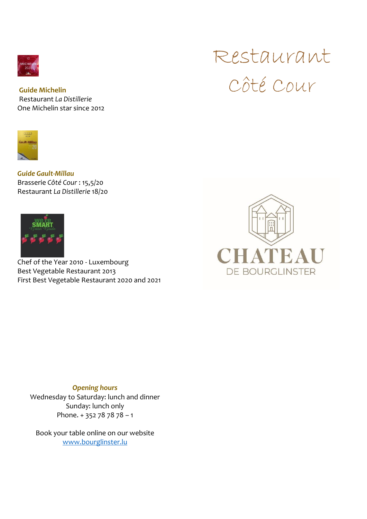

**Guide Michelin**  Restaurant *La Distillerie* One Michelin star since 2012



*Guide Gault-Millau* Brasserie *Côté Cour* : 15,5/20 Restaurant *La Distillerie* 18/20



Chef of the Year 2010 - Luxembourg Best Vegetable Restaurant 2013 First Best Vegetable Restaurant 2020 and 2021

# Restaurant Côté Cour



### *Opening hours*

Wednesday to Saturday: lunch and dinner Sunday: lunch only Phone. + 352 78 78 78 - 1

Book your table online on our website [www.bourglinster.lu](http://www.bourglinster.lu/)